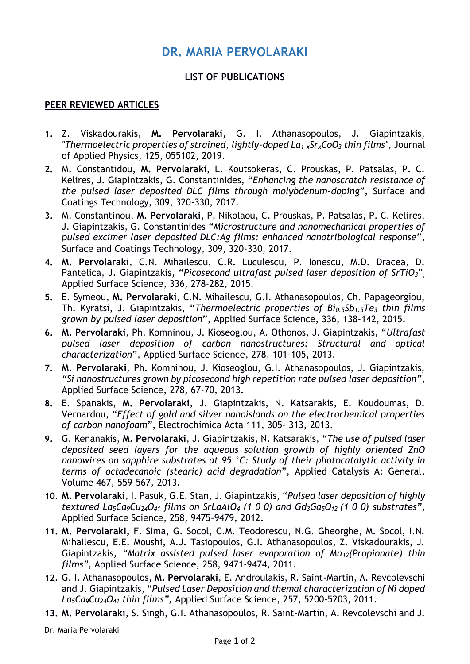## **DR. MARIA PERVOLARAKI**

## **LIST OF PUBLICATIONS**

## **PEER REVIEWED ARTICLES**

- **1.** Z. Viskadourakis, **M. Pervolaraki**, G. I. Athanasopoulos, J. Giapintzakis, *"Thermoelectric properties of strained, lightly-doped La1-xSrxCoO<sup>3</sup> thin films"*, Journal of Applied Physics, 125, 055102, 2019.
- **2.** M. Constantidou, **M. Pervolaraki**, L. Koutsokeras, C. Prouskas, P. Patsalas, P. C. Kelires, J. Giapintzakis, G. Constantinides, "*Enhancing the nanoscratch resistance of the pulsed laser deposited DLC films through molybdenum-doping*", Surface and Coatings Technology, 309, 320-330, 2017.
- **3.** M. Constantinou, **M. Pervolaraki,** P. Nikolaou, C. Prouskas, P. Patsalas, P. C. Kelires, J. Giapintzakis, G. Constantinides "*Microstructure and nanomechanical properties of pulsed excimer laser deposited DLC:Ag films: enhanced nanotribological response*", Surface and Coatings Technology, 309, 320-330, 2017.
- **4. M. Pervolaraki**, C.N. Mihailescu, C.R. Luculescu, P. Ionescu, M.D. Dracea, D. Pantelica, J. Giapintzakis, "*Picosecond ultrafast pulsed laser deposition of SrTiO3*", Applied Surface Science, 336, 278-282, 2015.
- **5.** E. Symeou, **M. Pervolaraki**, C.N. Mihailescu, G.I. Athanasopoulos, Ch. Papageorgiou, Th. Kyratsi, J. Giapintzakis, "*Thermoelectric properties of Bi0.5Sb1.5Te<sup>3</sup> thin films grown by pulsed laser deposition*", Applied Surface Science, 336, 138-142, 2015.
- **6. M. Pervolaraki**, Ph. Komninou, J. Kioseoglou, A. Othonos, J. Giapintzakis, "*Ultrafast pulsed laser deposition of carbon nanostructures: Structural and optical characterization*", Applied Surface Science, 278, 101-105, 2013.
- **7. M. Pervolaraki**, Ph. Komninou, J. Kioseoglou, G.I. Athanasopoulos, J. Giapintzakis, *"Si nanostructures grown by picosecond high repetition rate pulsed laser deposition"*, Applied Surface Science, 278, 67-70, 2013.
- **8.** E. Spanakis, **M. Pervolaraki**, J. Giapintzakis, N. Katsarakis, E. Koudoumas, D. Vernardou, "*Effect of gold and silver nanoislands on the electrochemical properties of carbon nanofoam*", Electrochimica Acta 111, 305– 313, 2013.
- **9.** [G. Kenanakis,](http://www.sciencedirect.com/science/article/pii/S0926860X1300450X) **[M. Pervolaraki](http://www.sciencedirect.com/science/article/pii/S0926860X1300450X)**, [J. Giapintzakis, N. Katsarakis](http://www.sciencedirect.com/science/article/pii/S0926860X1300450X), "*The use of pulsed laser deposited seed layers for the aqueous solution growth of highly oriented ZnO nanowires on sapphire substrates at 95 °C: Study of their photocatalytic activity in terms of octadecanoic (stearic) acid degradation*", [Applied Catalysis A: General,](http://www.sciencedirect.com/science/journal/0926860X) [Volume 467,](http://www.sciencedirect.com/science/journal/0926860X/467/supp/C) 559–567, 2013.
- **10. M. Pervolaraki**, I. Pasuk, G.E. Stan, J. Giapintzakis, "*Pulsed laser deposition of highly textured La5Ca9Cu24O<sup>41</sup> films on SrLaAlO<sup>4</sup> (1 0 0) and Gd3Ga5O12 (1 0 0) substrates"*, Applied Surface Science, 258, 9475-9479, 2012.
- **11. M. Pervolaraki,** F. Sima, G. Socol, C.M. Teodorescu, N.G. Gheorghe, M. Socol, I.N. Mihailescu, E.E. Moushi, A.J. Tasiopoulos, G.I. Athanasopoulos, Z. Viskadourakis, J. Giapintzakis*, "Matrix assisted pulsed laser evaporation of Mn12(Propionate) thin films"*, Applied Surface Science, 258, 9471-9474, 2011.
- **12.** G. I. Athanasopoulos, **M. Pervolaraki**, E. Androulakis, R. Saint-Martin, A. Revcolevschi and J. Giapintzakis, "*Pulsed Laser Deposition and themal characterization of Ni doped La5Ca9Cu24O<sup>41</sup> thin films",* Applied Surface Science, 257, 5200-5203, 2011.
- **13. M. Pervolaraki**, S. Singh, G.I. Athanasopoulos, R. Saint-Martin, A. Revcolevschi and J.